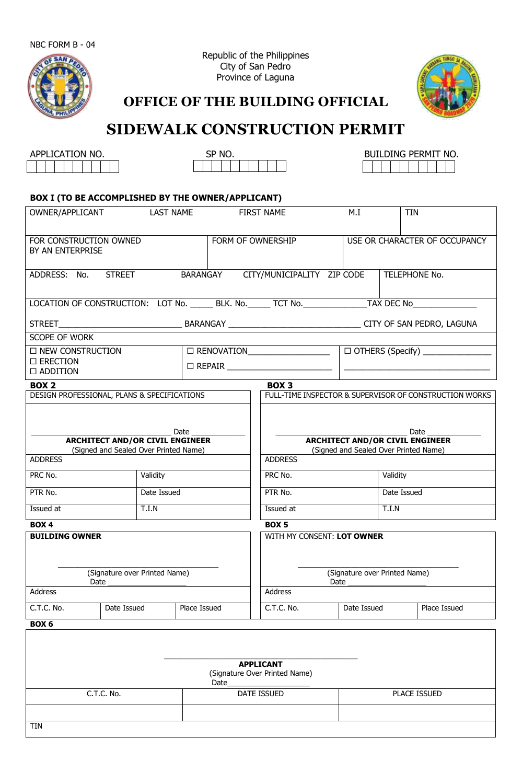

Republic of the Philippines City of San Pedro Province of Laguna



**OFFICE OF THE BUILDING OFFICIAL**

# **SIDEWALK CONSTRUCTION PERMIT**

| APPLICATION NO. |  |  |  |  |  |  |  |  |  |  |
|-----------------|--|--|--|--|--|--|--|--|--|--|
|                 |  |  |  |  |  |  |  |  |  |  |

TIN



| <b>CATION NO.</b><br>APPL<br>-- | SP <sub>NO</sub> | PERMIT NO.<br>DING.<br>BU! |  |  |  |  |
|---------------------------------|------------------|----------------------------|--|--|--|--|
|                                 |                  |                            |  |  |  |  |

# **BOX I (TO BE ACCOMPLISHED BYTHE OWNER/APPLICANT)**

| OWNER/APPLICANT<br>LAST NAME                      |               |                                                                                                                     | FIRST NAME    | M.I                                                                                                        | <b>TIN</b>                                                                                                          |              |                                                               |  |  |
|---------------------------------------------------|---------------|---------------------------------------------------------------------------------------------------------------------|---------------|------------------------------------------------------------------------------------------------------------|---------------------------------------------------------------------------------------------------------------------|--------------|---------------------------------------------------------------|--|--|
| FOR CONSTRUCTION OWNED<br>BY AN ENTERPRISE        |               |                                                                                                                     |               | FORM OF OWNERSHIP                                                                                          | USE OR CHARACTER OF OCCUPANCY                                                                                       |              |                                                               |  |  |
| ADDRESS: No.                                      | <b>STREET</b> |                                                                                                                     | BARANGAY      |                                                                                                            | CITY/MUNICIPALITY ZIP CODE<br>TELEPHONE No.                                                                         |              |                                                               |  |  |
|                                                   |               |                                                                                                                     |               | LOCATION OF CONSTRUCTION: LOT No. ______ BLK. No. ______ TCT No. _______________TAX DEC No________________ |                                                                                                                     |              |                                                               |  |  |
|                                                   |               |                                                                                                                     |               |                                                                                                            |                                                                                                                     |              |                                                               |  |  |
| <b>SCOPE OF WORK</b>                              |               |                                                                                                                     |               |                                                                                                            |                                                                                                                     |              |                                                               |  |  |
| □ NEW CONSTRUCTION                                |               |                                                                                                                     |               |                                                                                                            |                                                                                                                     |              | $\Box$ OTHERS (Specify) _______________                       |  |  |
| □ ERECTION<br>$\Box$ ADDITION                     |               |                                                                                                                     |               |                                                                                                            |                                                                                                                     |              | <u> 2000 - Andrea Andrewski, amerikansk politik (d. 1982)</u> |  |  |
| <b>BOX 2</b>                                      |               |                                                                                                                     |               | <b>BOX 3</b>                                                                                               |                                                                                                                     |              |                                                               |  |  |
| DESIGN PROFESSIONAL, PLANS & SPECIFICATIONS       |               |                                                                                                                     |               |                                                                                                            |                                                                                                                     |              | FULL-TIME INSPECTOR & SUPERVISOR OF CONSTRUCTION WORKS        |  |  |
| <b>ADDRESS</b><br>PRC No.<br>PTR No.<br>Issued at |               | <b>ARCHITECT AND/OR CIVIL ENGINEER</b><br>(Signed and Sealed Over Printed Name)<br>Validity<br>Date Issued<br>T.I.N | Date $\qquad$ | <b>ADDRESS</b><br>PRC No.<br>PTR No.<br>Issued at                                                          | <b>ARCHITECT AND/OR CIVIL ENGINEER</b><br>(Signed and Sealed Over Printed Name)<br>Validity<br>Date Issued<br>T.I.N |              |                                                               |  |  |
| <b>BOX4</b>                                       |               |                                                                                                                     |               | <b>BOX5</b>                                                                                                |                                                                                                                     |              |                                                               |  |  |
| <b>BUILDING OWNER</b>                             | Date $\_\_$   | (Signature over Printed Name)                                                                                       |               | WITH MY CONSENT: LOT OWNER                                                                                 | (Signature over Printed Name)<br>Date $\_\_$                                                                        |              |                                                               |  |  |
| Address                                           |               |                                                                                                                     |               | Address                                                                                                    |                                                                                                                     |              |                                                               |  |  |
| C.T.C. No.<br>Date Issued                         |               | Place Issued                                                                                                        | C.T.C. No.    | Date Issued                                                                                                |                                                                                                                     | Place Issued |                                                               |  |  |
| BOX 6                                             |               |                                                                                                                     |               |                                                                                                            |                                                                                                                     |              |                                                               |  |  |
|                                                   | C.T.C. No.    |                                                                                                                     | Date          | <b>APPLICANT</b><br>(Signature Over Printed Name)<br><b>DATE ISSUED</b>                                    |                                                                                                                     |              | PLACE ISSUED                                                  |  |  |
|                                                   |               |                                                                                                                     |               |                                                                                                            |                                                                                                                     |              |                                                               |  |  |